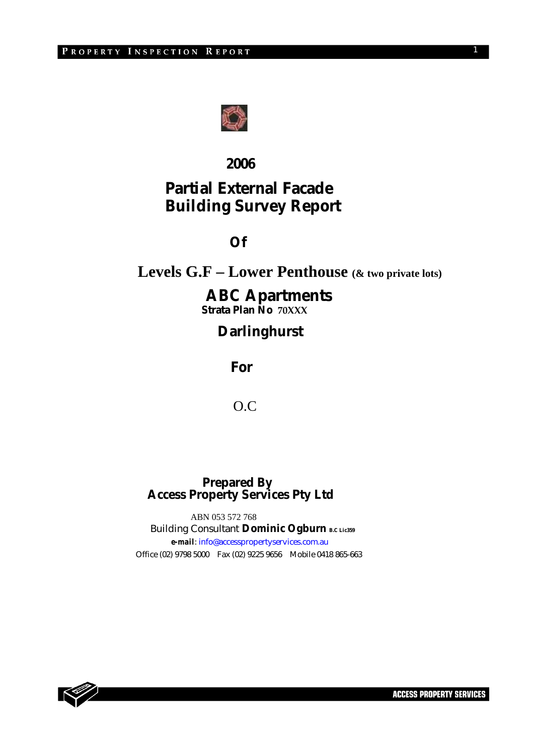

## **2006**

# **Partial External Facade Building Survey Report**

## **Of**

# **Levels G.F – Lower Penthouse (& two private lots)**

## **ABC Apartments**

 **Strata Plan No 70XXX**

# **Darlinghurst**

 **For** 

O.C

## **Prepared By Access Property Services Pty Ltd**

 ABN 053 572 768 Building Consultant **Dominic Ogburn** B.C Lie359  *e-mail*: info@accesspropertyservices.com.au Office (02) 9798 5000 Fax (02) 9225 9656 Mobile 0418 865-663



1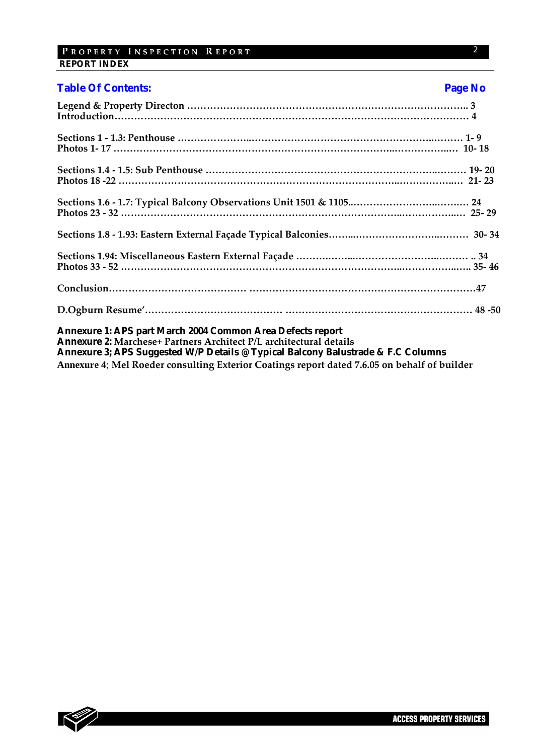## PROPERTY INSPECTION REPORT  **REPORT INDEX**

| <b>Table Of Contents:</b>                                                                                                               | Page No |
|-----------------------------------------------------------------------------------------------------------------------------------------|---------|
|                                                                                                                                         |         |
|                                                                                                                                         |         |
|                                                                                                                                         |         |
|                                                                                                                                         |         |
|                                                                                                                                         |         |
|                                                                                                                                         |         |
|                                                                                                                                         |         |
|                                                                                                                                         |         |
|                                                                                                                                         |         |
| <b>Annexure 1: APS part March 2004 Common Area Defects report</b><br>Annexure 2: Marchese+ Partners Architect P/L architectural details |         |
| Annexure 3; APS Suggested W/P Details @ Typical Balcony Balustrade & F.C Columns                                                        |         |
| Annexure 4; Mel Roeder consulting Exterior Coatings report dated 7.6.05 on behalf of builder                                            |         |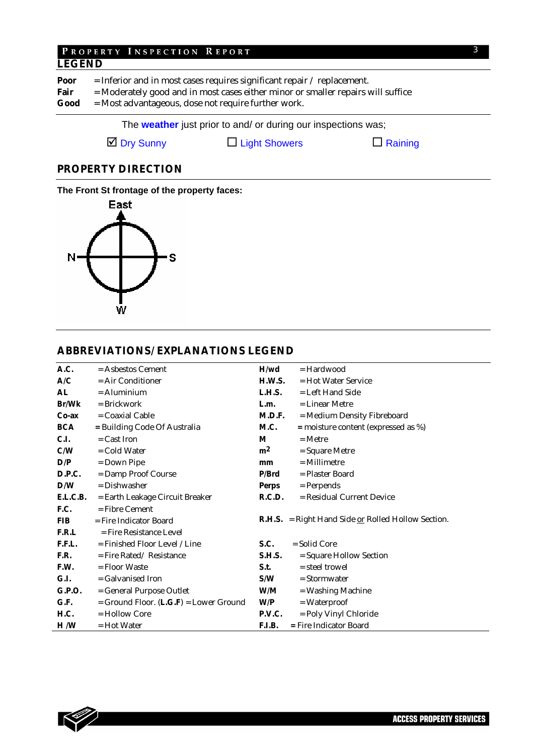## PROPERTY INSPECTION REPORT **LEGEND**

**Poor** = Inferior and in most cases requires significant repair / replacement. Fair = Moderately good and in most cases either minor or smaller repairs will suffice **Good** = Most advantageous, dose not require further work.

The **weather** just prior to and/ or during our inspections was;

 $\Box$  Dry Sunny  $\Box$  Light Showers  $\Box$  Raining

## **PROPERTY DIRECTION**

#### **The Front St frontage of the property faces:**



## **ABBREVIATIONS/ EXPLANATIONS LEGEND**

| A.C.          | $=$ Asbestos Cement                        | H/wd           | $=$ Hardwood                                                |
|---------------|--------------------------------------------|----------------|-------------------------------------------------------------|
| A/C           | $=$ Air Conditioner                        | H.W.S.         | $=$ Hot Water Service                                       |
| AL            | $=$ Aluminium                              | L.H.S.         | = Left Hand Side                                            |
| <b>Br/Wk</b>  | $=$ Brickwork                              | L.m.           | = Linear Metre                                              |
| $Co-ax$       | $=$ Coaxial Cable                          | M.D.F.         | = Medium Density Fibreboard                                 |
| <b>BCA</b>    | = Building Code Of Australia               | M.C.           | $=$ moisture content (expressed as %)                       |
| <b>C.I.</b>   | $=$ Cast Iron                              | M              | $=$ Metre                                                   |
| C/W           | $=$ Cold Water                             | m <sup>2</sup> | $=$ Square Metre                                            |
| D/P           | $=$ Down Pipe                              | mm             | $=$ Millimetre                                              |
| <b>D.P.C.</b> | = Damp Proof Course                        | P/Brd          | = Plaster Board                                             |
| D/W           | $=$ Dishwasher                             | Perps          | $=$ Perpends                                                |
| E.L.C.B.      | = Earth Leakage Circuit Breaker            | R.C.D.         | = Residual Current Device                                   |
| F.C.          | $=$ Fibre Cement                           |                |                                                             |
| <b>FIB</b>    | $=$ Fire Indicator Board                   |                | <b>R.H.S.</b> = Right Hand Side $or$ Rolled Hollow Section. |
| F.R.L         | = Fire Resistance Level                    |                |                                                             |
| F.F.L.        | = Finished Floor Level / Line              | <b>S.C.</b>    | $=$ Solid Core                                              |
| F.R.          | $=$ Fire Rated/Resistance                  | <b>S.H.S.</b>  | = Square Hollow Section                                     |
| F.W.          | $=$ Floor Waste                            | S.t.           | = steel trowel                                              |
| G.I.          | $=$ Galvanised Iron                        | S/W            | $=$ Stormwater                                              |
| G.P.O.        | = General Purpose Outlet                   | W/M            | = Washing Machine                                           |
| G.F.          | $=$ Ground Floor. $(L.G.F) =$ Lower Ground | W/P            | $= Waterproof$                                              |
| H.C.          | $=$ Hollow Core                            | <b>P.V.C.</b>  | = Poly Vinyl Chloride                                       |
| H/W           | = Hot Water                                | <b>F.I.B.</b>  | = Fire Indicator Board                                      |

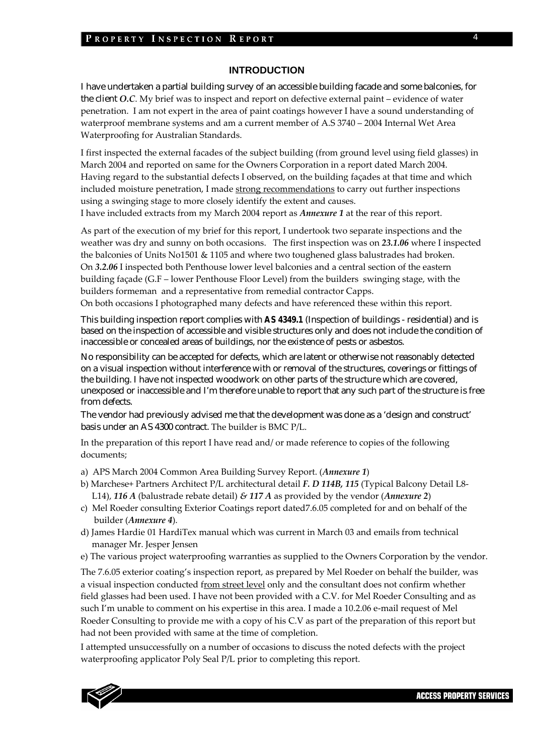#### **INTRODUCTION**

I have undertaken a partial building survey of an accessible building facade and some balconies, for the client *O.C*. My brief was to inspect and report on defective external paint – evidence of water penetration. I am not expert in the area of paint coatings however I have a sound understanding of waterproof membrane systems and am a current member of A.S 3740 – 2004 Internal Wet Area Waterproofing for Australian Standards.

I first inspected the external facades of the subject building (from ground level using field glasses) in March 2004 and reported on same for the Owners Corporation in a report dated March 2004. Having regard to the substantial defects I observed, on the building façades at that time and which included moisture penetration, I made strong recommendations to carry out further inspections using a swinging stage to more closely identify the extent and causes. I have included extracts from my March 2004 report as *Annexure 1* at the rear of this report.

As part of the execution of my brief for this report, I undertook two separate inspections and the weather was dry and sunny on both occasions. The first inspection was on *23.1.06* where I inspected the balconies of Units No1501 & 1105 and where two toughened glass balustrades had broken. On *3.2.06* I inspected both Penthouse lower level balconies and a central section of the eastern building façade (G.F – lower Penthouse Floor Level) from the builders swinging stage, with the builders formeman and a representative from remedial contractor Capps.

On both occasions I photographed many defects and have referenced these within this report.

This building inspection report complies with *AS 4349.1* (Inspection of buildings - residential) and is based on the inspection of accessible and visible structures only and does not include the condition of inaccessible or concealed areas of buildings, nor the existence of pests or asbestos.

No responsibility can be accepted for defects, which are latent or otherwise not reasonably detected on a visual inspection without interference with or removal of the structures, coverings or fittings of the building. I have not inspected woodwork on other parts of the structure which are covered, unexposed or inaccessible and I'm therefore unable to report that any such part of the structure is free from defects.

The vendor had previously advised me that the development was done as a 'design and construct' basis under an AS 4300 contract. The builder is BMC P/L.

In the preparation of this report I have read and/ or made reference to copies of the following documents;

- a) APS March 2004 Common Area Building Survey Report. (*Annexure 1*)
- b) Marchese+ Partners Architect P/L architectural detail *F. D 114B, 115* (Typical Balcony Detail L8‐ L14), **116** *A* (balustrade rebate detail)  $\&$  **117** *A* as provided by the vendor (*Annexure* 2)
- c) Mel Roeder consulting Exterior Coatings report dated7.6.05 completed for and on behalf of the builder (*Annexure 4*).
- d) James Hardie 01 HardiTex manual which was current in March 03 and emails from technical manager Mr. Jesper Jensen
- e) The various project waterproofing warranties as supplied to the Owners Corporation by the vendor.

The 7.6.05 exterior coating's inspection report, as prepared by Mel Roeder on behalf the builder, was a visual inspection conducted from street level only and the consultant does not confirm whether field glasses had been used. I have not been provided with a C.V. for Mel Roeder Consulting and as such I'm unable to comment on his expertise in this area. I made a 10.2.06 e-mail request of Mel Roeder Consulting to provide me with a copy of his C.V as part of the preparation of this report but had not been provided with same at the time of completion.

I attempted unsuccessfully on a number of occasions to discuss the noted defects with the project waterproofing applicator Poly Seal P/L prior to completing this report.



4

**ACCESS PROPERTY SERVICES**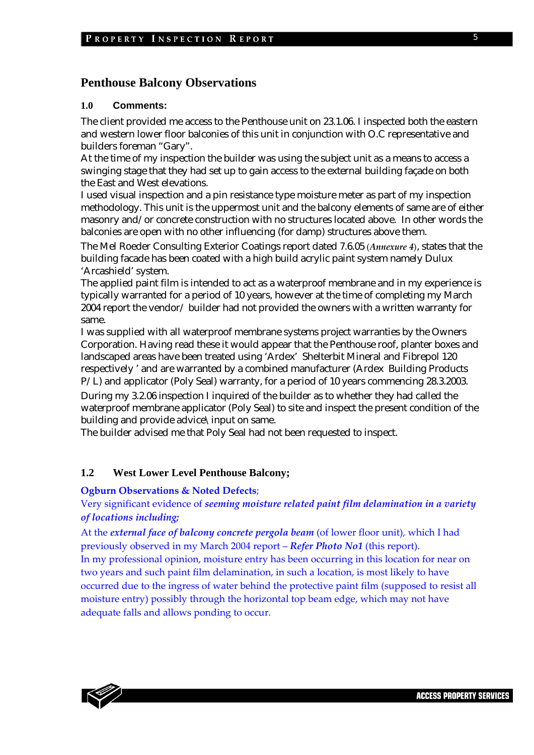## **Penthouse Balcony Observations**

#### **1.0 Comments:**

The client provided me access to the Penthouse unit on 23.1.06. I inspected both the eastern and western lower floor balconies of this unit in conjunction with O.C representative and builders foreman "Gary".

At the time of my inspection the builder was using the subject unit as a means to access a swinging stage that they had set up to gain access to the external building façade on both the East and West elevations.

I used visual inspection and a pin resistance type moisture meter as part of my inspection methodology. This unit is the uppermost unit and the balcony elements of same are of either masonry and/or concrete construction with no structures located above. In other words the balconies are open with no other influencing (for damp) structures above them.

The Mel Roeder Consulting Exterior Coatings report dated 7.6.05 (*Annexure 4*), states that the building facade has been coated with a high build acrylic paint system namely Dulux 'Arcashield' system.

The applied paint film is intended to act as a waterproof membrane and in my experience is typically warranted for a period of 10 years, however at the time of completing my March 2004 report the vendor/ builder had not provided the owners with a written warranty for same.

I was supplied with all waterproof membrane systems project warranties by the Owners Corporation. Having read these it would appear that the Penthouse roof, planter boxes and landscaped areas have been treated using 'Ardex' Shelterbit Mineral and Fibrepol 120 respectively ' and are warranted by a combined manufacturer (Ardex Building Products P/L) and applicator (Poly Seal) warranty, for a period of 10 years commencing 28.3.2003.

During my 3.2.06 inspection I inquired of the builder as to whether they had called the waterproof membrane applicator (Poly Seal) to site and inspect the present condition of the building and provide advice\input on same.

The builder advised me that Poly Seal had not been requested to inspect.

#### **1.2 West Lower Level Penthouse Balcony;**

#### **Ogburn Observations & Noted Defects**;

## Very significant evidence of *seeming moisture related paint film delamination in a variety of locations including;*

At the *external face of balcony concrete pergola beam* (of lower floor unit), which I had previously observed in my March 2004 report – *Refer Photo No1* (this report).

In my professional opinion, moisture entry has been occurring in this location for near on two years and such paint film delamination, in such a location, is most likely to have occurred due to the ingress of water behind the protective paint film (supposed to resist all moisture entry) possibly through the horizontal top beam edge, which may not have adequate falls and allows ponding to occur.

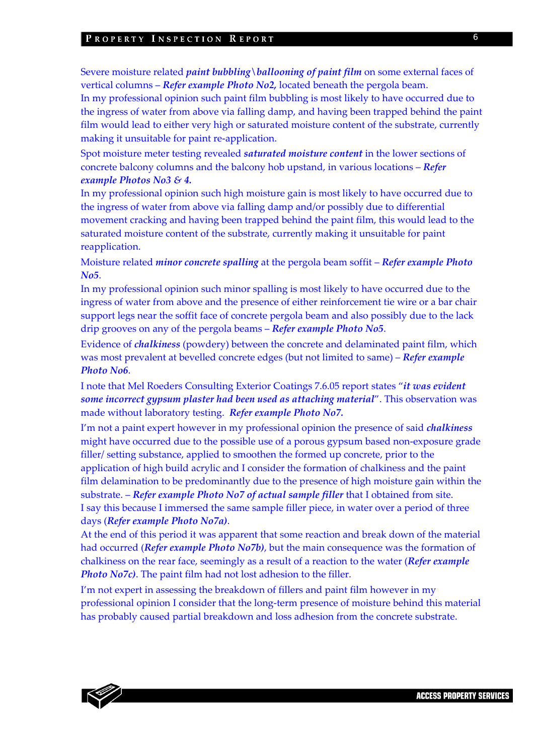#### PROPERTY INSPECTION REPORT

Severe moisture related *paint bubbling\ballooning of paint film* on some external faces of vertical columns – *Refer example Photo No2,* located beneath the pergola beam.

In my professional opinion such paint film bubbling is most likely to have occurred due to the ingress of water from above via falling damp, and having been trapped behind the paint film would lead to either very high or saturated moisture content of the substrate, currently making it unsuitable for paint re‐application.

Spot moisture meter testing revealed *saturated moisture content* in the lower sections of concrete balcony columns and the balcony hob upstand, in various locations – *Refer example Photos No3 & 4.*

In my professional opinion such high moisture gain is most likely to have occurred due to the ingress of water from above via falling damp and/or possibly due to differential movement cracking and having been trapped behind the paint film, this would lead to the saturated moisture content of the substrate, currently making it unsuitable for paint reapplication.

Moisture related *minor concrete spalling* at the pergola beam soffit – *Refer example Photo No5*.

In my professional opinion such minor spalling is most likely to have occurred due to the ingress of water from above and the presence of either reinforcement tie wire or a bar chair support legs near the soffit face of concrete pergola beam and also possibly due to the lack drip grooves on any of the pergola beams – *Refer example Photo No5*.

Evidence of *chalkiness* (powdery) between the concrete and delaminated paint film, which was most prevalent at bevelled concrete edges (but not limited to same) – *Refer example Photo No6*.

I note that Mel Roeders Consulting Exterior Coatings 7.6.05 report states "*it was evident some incorrect gypsum plaster had been used as attaching material*". This observation was made without laboratory testing. *Refer example Photo No7.*

I'm not a paint expert however in my professional opinion the presence of said *chalkiness* might have occurred due to the possible use of a porous gypsum based non‐exposure grade filler/ setting substance, applied to smoothen the formed up concrete, prior to the application of high build acrylic and I consider the formation of chalkiness and the paint film delamination to be predominantly due to the presence of high moisture gain within the substrate. – *Refer example Photo No7 of actual sample filler* that I obtained from site. I say this because I immersed the same sample filler piece, in water over a period of three days (*Refer example Photo No7a)*.

At the end of this period it was apparent that some reaction and break down of the material had occurred (*Refer example Photo No7b)*, but the main consequence was the formation of chalkiness on the rear face, seemingly as a result of a reaction to the water (*Refer example Photo No7c)*. The paint film had not lost adhesion to the filler.

I'm not expert in assessing the breakdown of fillers and paint film however in my professional opinion I consider that the long‐term presence of moisture behind this material has probably caused partial breakdown and loss adhesion from the concrete substrate.

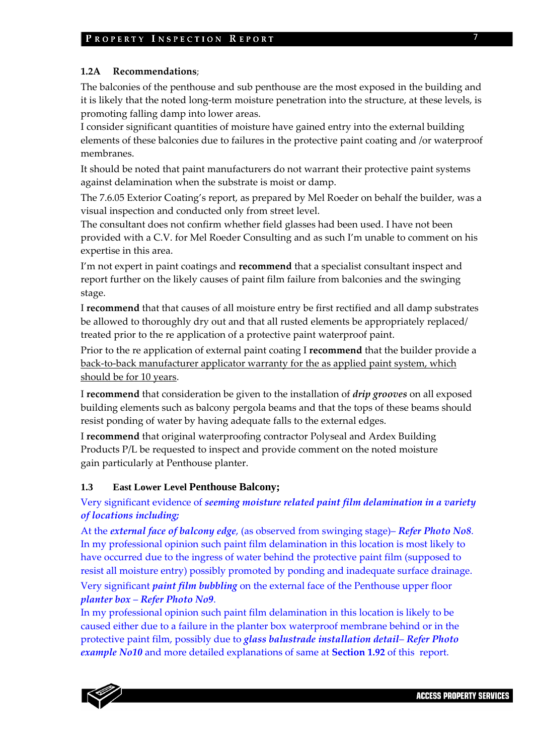#### **1.2A Recommendations**;

The balconies of the penthouse and sub penthouse are the most exposed in the building and it is likely that the noted long‐term moisture penetration into the structure, at these levels, is promoting falling damp into lower areas.

I consider significant quantities of moisture have gained entry into the external building elements of these balconies due to failures in the protective paint coating and /or waterproof membranes.

It should be noted that paint manufacturers do not warrant their protective paint systems against delamination when the substrate is moist or damp.

The 7.6.05 Exterior Coating's report, as prepared by Mel Roeder on behalf the builder, was a visual inspection and conducted only from street level.

The consultant does not confirm whether field glasses had been used. I have not been provided with a C.V. for Mel Roeder Consulting and as such I'm unable to comment on his expertise in this area.

I'm not expert in paint coatings and **recommend** that a specialist consultant inspect and report further on the likely causes of paint film failure from balconies and the swinging stage.

I **recommend** that that causes of all moisture entry be first rectified and all damp substrates be allowed to thoroughly dry out and that all rusted elements be appropriately replaced/ treated prior to the re application of a protective paint waterproof paint.

Prior to the re application of external paint coating I **recommend** that the builder provide a back‐to‐back manufacturer applicator warranty for the as applied paint system, which should be for 10 years.

I **recommend** that consideration be given to the installation of *drip grooves* on all exposed building elements such as balcony pergola beams and that the tops of these beams should resist ponding of water by having adequate falls to the external edges.

I **recommend** that original waterproofing contractor Polyseal and Ardex Building Products P/L be requested to inspect and provide comment on the noted moisture gain particularly at Penthouse planter.

## **1.3 East Lower Level Penthouse Balcony;**

## Very significant evidence of *seeming moisture related paint film delamination in a variety of locations including;*

At the *external face of balcony edge*, (as observed from swinging stage)– *Refer Photo No8*. In my professional opinion such paint film delamination in this location is most likely to have occurred due to the ingress of water behind the protective paint film (supposed to resist all moisture entry) possibly promoted by ponding and inadequate surface drainage.

Very significant *paint film bubbling* on the external face of the Penthouse upper floor *planter box* – *Refer Photo No9*.

In my professional opinion such paint film delamination in this location is likely to be caused either due to a failure in the planter box waterproof membrane behind or in the protective paint film, possibly due to *glass balustrade installation detail*– *Refer Photo example No10* and more detailed explanations of same at **Section 1.92** of this report.

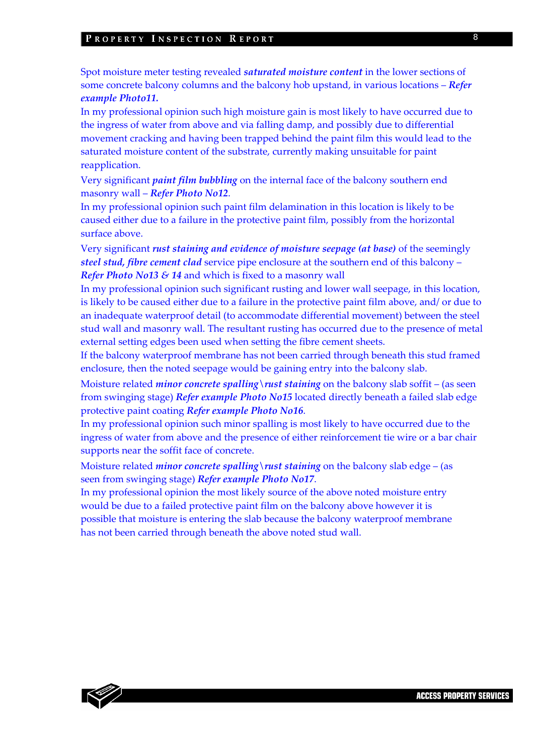#### PROPERTY INSPECTION REPORT

Spot moisture meter testing revealed *saturated moisture content* in the lower sections of some concrete balcony columns and the balcony hob upstand, in various locations – *Refer example Photo11.*

In my professional opinion such high moisture gain is most likely to have occurred due to the ingress of water from above and via falling damp, and possibly due to differential movement cracking and having been trapped behind the paint film this would lead to the saturated moisture content of the substrate, currently making unsuitable for paint reapplication.

Very significant *paint film bubbling* on the internal face of the balcony southern end masonry wall – *Refer Photo No12*.

In my professional opinion such paint film delamination in this location is likely to be caused either due to a failure in the protective paint film, possibly from the horizontal surface above.

Very significant *rust staining and evidence of moisture seepage (at base)* of the seemingly *steel stud, fibre cement clad* service pipe enclosure at the southern end of this balcony – *Refer Photo No13 & 14* and which is fixed to a masonry wall

In my professional opinion such significant rusting and lower wall seepage, in this location, is likely to be caused either due to a failure in the protective paint film above, and/ or due to an inadequate waterproof detail (to accommodate differential movement) between the steel stud wall and masonry wall. The resultant rusting has occurred due to the presence of metal external setting edges been used when setting the fibre cement sheets.

If the balcony waterproof membrane has not been carried through beneath this stud framed enclosure, then the noted seepage would be gaining entry into the balcony slab.

Moisture related *minor concrete spalling* \*rust staining* on the balcony slab soffit – (as seen from swinging stage) *Refer example Photo No15* located directly beneath a failed slab edge protective paint coating *Refer example Photo No16*.

In my professional opinion such minor spalling is most likely to have occurred due to the ingress of water from above and the presence of either reinforcement tie wire or a bar chair supports near the soffit face of concrete.

Moisture related *minor concrete spalling\rust staining* on the balcony slab edge – (as seen from swinging stage) *Refer example Photo No17*.

In my professional opinion the most likely source of the above noted moisture entry would be due to a failed protective paint film on the balcony above however it is possible that moisture is entering the slab because the balcony waterproof membrane has not been carried through beneath the above noted stud wall.

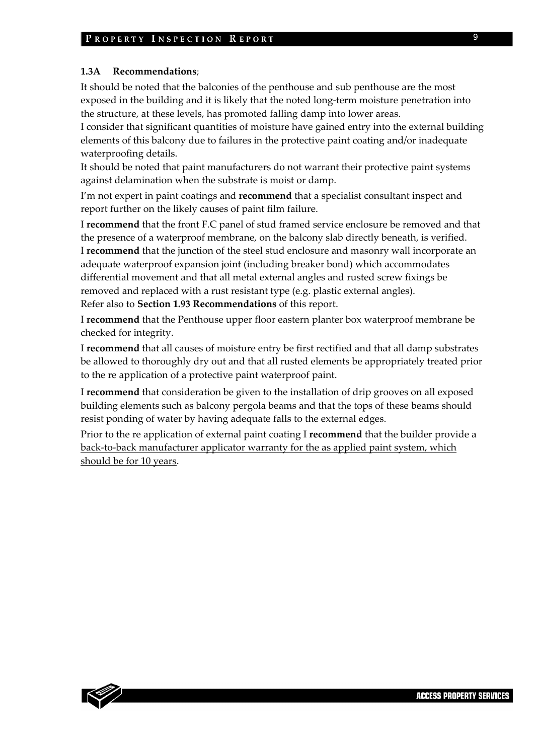#### **1.3A Recommendations**;

It should be noted that the balconies of the penthouse and sub penthouse are the most exposed in the building and it is likely that the noted long-term moisture penetration into the structure, at these levels, has promoted falling damp into lower areas.

I consider that significant quantities of moisture have gained entry into the external building elements of this balcony due to failures in the protective paint coating and/or inadequate waterproofing details.

It should be noted that paint manufacturers do not warrant their protective paint systems against delamination when the substrate is moist or damp.

I'm not expert in paint coatings and **recommend** that a specialist consultant inspect and report further on the likely causes of paint film failure.

I **recommend** that the front F.C panel of stud framed service enclosure be removed and that the presence of a waterproof membrane, on the balcony slab directly beneath, is verified. I **recommend** that the junction of the steel stud enclosure and masonry wall incorporate an adequate waterproof expansion joint (including breaker bond) which accommodates differential movement and that all metal external angles and rusted screw fixings be removed and replaced with a rust resistant type (e.g. plastic external angles). Refer also to **Section 1.93 Recommendations** of this report.

I **recommend** that the Penthouse upper floor eastern planter box waterproof membrane be checked for integrity.

I **recommend** that all causes of moisture entry be first rectified and that all damp substrates be allowed to thoroughly dry out and that all rusted elements be appropriately treated prior to the re application of a protective paint waterproof paint.

I **recommend** that consideration be given to the installation of drip grooves on all exposed building elements such as balcony pergola beams and that the tops of these beams should resist ponding of water by having adequate falls to the external edges.

Prior to the re application of external paint coating I **recommend** that the builder provide a back‐to‐back manufacturer applicator warranty for the as applied paint system, which should be for 10 years.

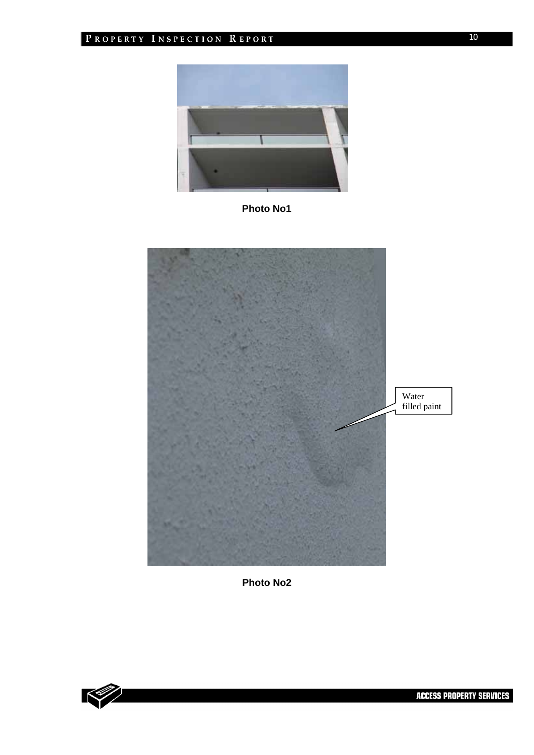

**Photo No1** 





10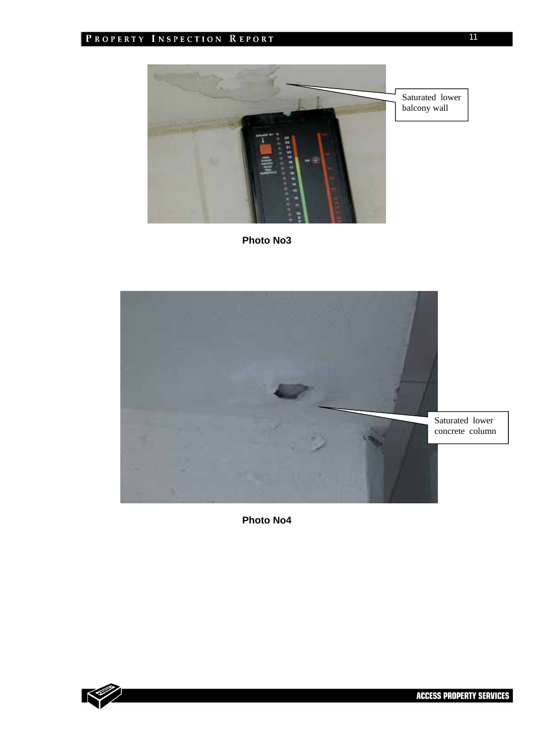

**Photo No3** 



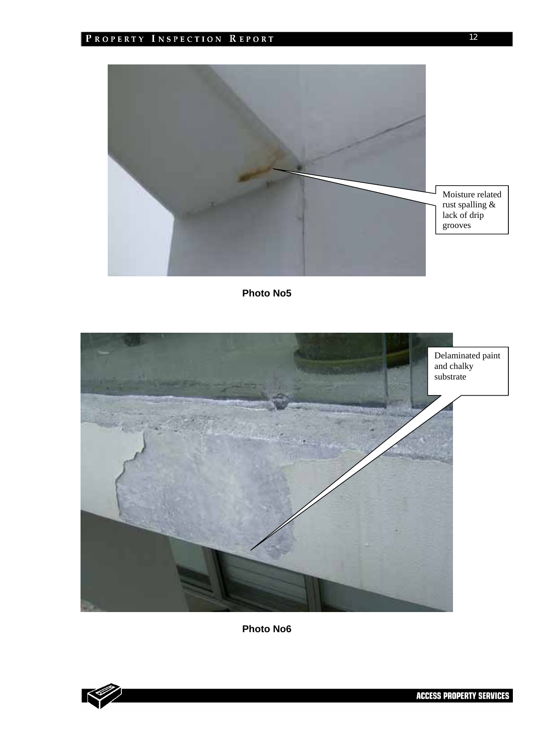



**Photo No6** 



**ACCESS PROPERTY SERVICES**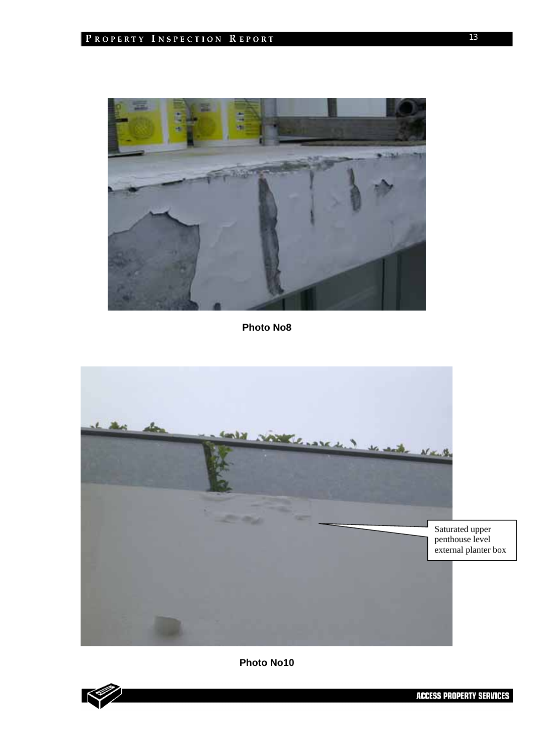



**Photo No10** 



**ACCESS PROPERTY SERVICES**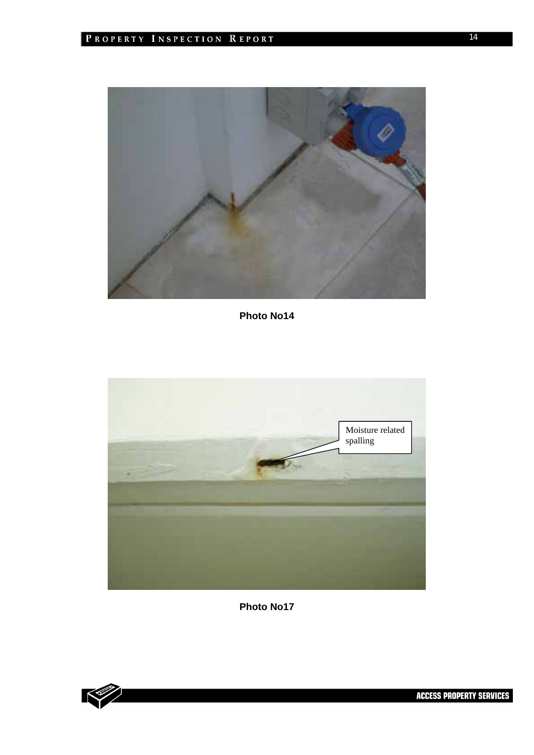

**Photo No14** 



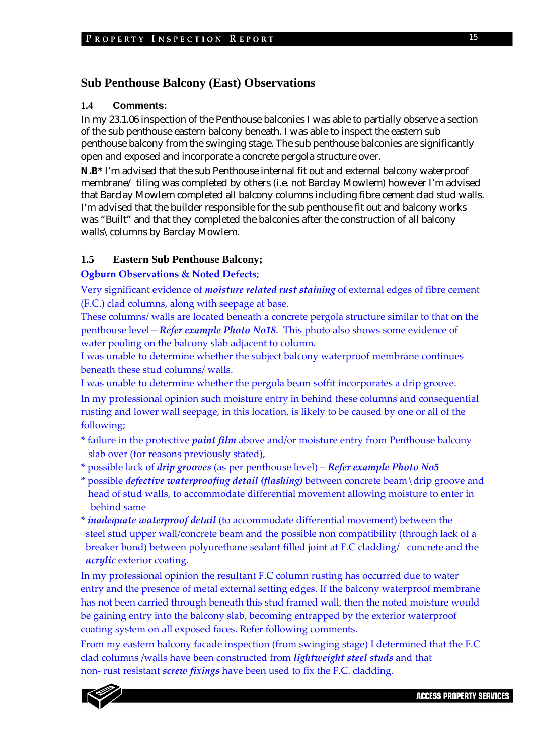## **Sub Penthouse Balcony (East) Observations**

### **1.4 Comments:**

In my 23.1.06 inspection of the Penthouse balconies I was able to partially observe a section of the sub penthouse eastern balcony beneath. I was able to inspect the eastern sub penthouse balcony from the swinging stage. The sub penthouse balconies are significantly open and exposed and incorporate a concrete pergola structure over.

**N.B\*** I'm advised that the sub Penthouse internal fit out and external balcony waterproof membrane/ tiling was completed by others (i.e. not Barclay Mowlem) however I'm advised that Barclay Mowlem completed all balcony columns including fibre cement clad stud walls. I'm advised that the builder responsible for the sub penthouse fit out and balcony works was "Built" and that they completed the balconies after the construction of all balcony walls\columns by Barclay Mowlem.

## **1.5 Eastern Sub Penthouse Balcony;**

#### **Ogburn Observations & Noted Defects**;

Very significant evidence of *moisture related rust staining* of external edges of fibre cement (F.C.) clad columns, along with seepage at base.

These columns/ walls are located beneath a concrete pergola structure similar to that on the penthouse level—*Refer example Photo No18*. This photo also shows some evidence of water pooling on the balcony slab adjacent to column.

I was unable to determine whether the subject balcony waterproof membrane continues beneath these stud columns/ walls.

I was unable to determine whether the pergola beam soffit incorporates a drip groove.

In my professional opinion such moisture entry in behind these columns and consequential rusting and lower wall seepage, in this location, is likely to be caused by one or all of the following;

**\*** failure in the protective *paint film* above and/or moisture entry from Penthouse balcony slab over (for reasons previously stated),

- **\*** possible lack of *drip grooves* (as per penthouse level) *Refer example Photo No5*
- **\*** possible *defective waterproofing detail (flashing)* between concrete beam\drip groove and head of stud walls, to accommodate differential movement allowing moisture to enter in behind same
- **\*** *inadequate waterproof detail* (to accommodate differential movement) between the steel stud upper wall/concrete beam and the possible non compatibility (through lack of a breaker bond) between polyurethane sealant filled joint at F.C cladding/ concrete and the *acrylic* exterior coating.

In my professional opinion the resultant F.C column rusting has occurred due to water entry and the presence of metal external setting edges. If the balcony waterproof membrane has not been carried through beneath this stud framed wall, then the noted moisture would be gaining entry into the balcony slab, becoming entrapped by the exterior waterproof coating system on all exposed faces. Refer following comments.

From my eastern balcony facade inspection (from swinging stage) I determined that the F.C clad columns /walls have been constructed from *lightweight steel studs* and that non‐ rust resistant *screw fixings* have been used to fix the F.C. cladding.

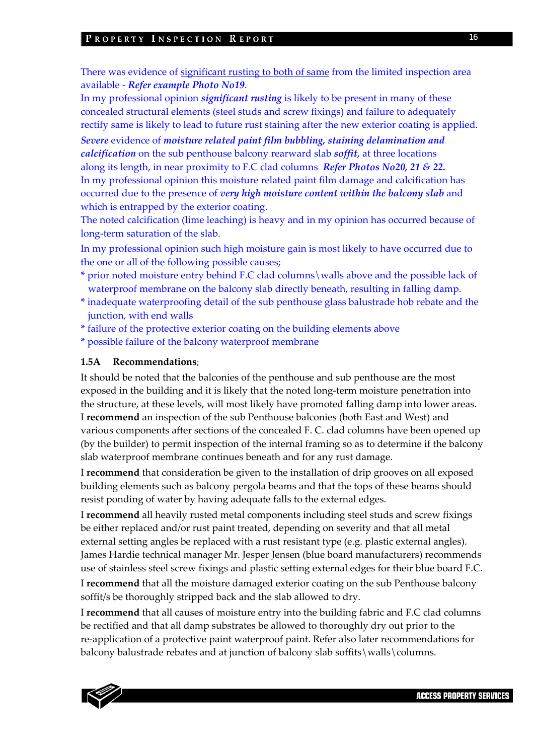#### PROPERTY INSPECTION REPORT

There was evidence of significant rusting to both of same from the limited inspection area available ‐ *Refer example Photo No19*.

In my professional opinion *significant rusting* is likely to be present in many of these concealed structural elements (steel studs and screw fixings) and failure to adequately rectify same is likely to lead to future rust staining after the new exterior coating is applied.

*Severe* evidence of *moisture related paint film bubbling, staining delamination and calcification* on the sub penthouse balcony rearward slab *soffit,* at three locations along its length, in near proximity to F.C clad columns *Refer Photos No20, 21 & 22.* In my professional opinion this moisture related paint film damage and calcification has occurred due to the presence of *very high moisture content within the balcony slab* and which is entrapped by the exterior coating.

The noted calcification (lime leaching) is heavy and in my opinion has occurred because of long‐term saturation of the slab.

In my professional opinion such high moisture gain is most likely to have occurred due to the one or all of the following possible causes;

- **\*** prior noted moisture entry behind F.C clad columns\walls above and the possible lack of waterproof membrane on the balcony slab directly beneath, resulting in falling damp.
- **\*** inadequate waterproofing detail of the sub penthouse glass balustrade hob rebate and the junction, with end walls
- **\*** failure of the protective exterior coating on the building elements above
- **\*** possible failure of the balcony waterproof membrane

#### **1.5A Recommendations**;

It should be noted that the balconies of the penthouse and sub penthouse are the most exposed in the building and it is likely that the noted long-term moisture penetration into the structure, at these levels, will most likely have promoted falling damp into lower areas. I **recommend** an inspection of the sub Penthouse balconies (both East and West) and various components after sections of the concealed F. C. clad columns have been opened up (by the builder) to permit inspection of the internal framing so as to determine if the balcony slab waterproof membrane continues beneath and for any rust damage.

I **recommend** that consideration be given to the installation of drip grooves on all exposed building elements such as balcony pergola beams and that the tops of these beams should resist ponding of water by having adequate falls to the external edges.

I **recommend** all heavily rusted metal components including steel studs and screw fixings be either replaced and/or rust paint treated, depending on severity and that all metal external setting angles be replaced with a rust resistant type (e.g. plastic external angles). James Hardie technical manager Mr. Jesper Jensen (blue board manufacturers) recommends use of stainless steel screw fixings and plastic setting external edges for their blue board F.C.

I **recommend** that all the moisture damaged exterior coating on the sub Penthouse balcony soffit/s be thoroughly stripped back and the slab allowed to dry.

I **recommend** that all causes of moisture entry into the building fabric and F.C clad columns be rectified and that all damp substrates be allowed to thoroughly dry out prior to the re‐application of a protective paint waterproof paint. Refer also later recommendations for balcony balustrade rebates and at junction of balcony slab soffits\walls\columns.

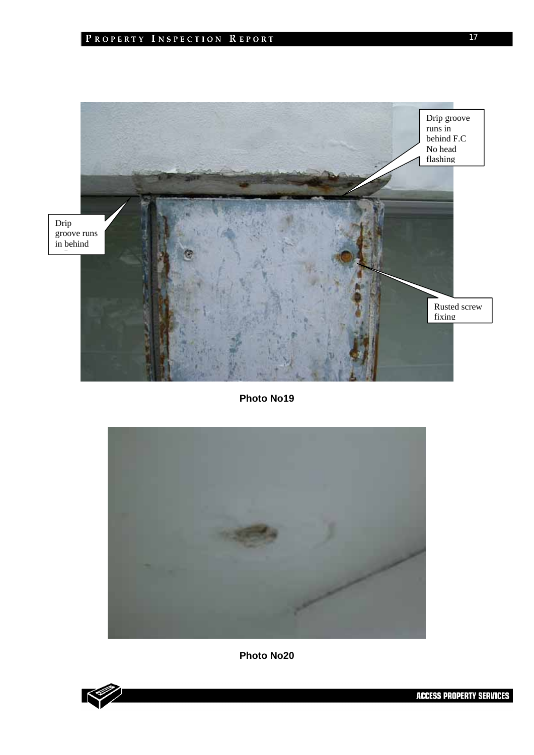

**Photo No19** 



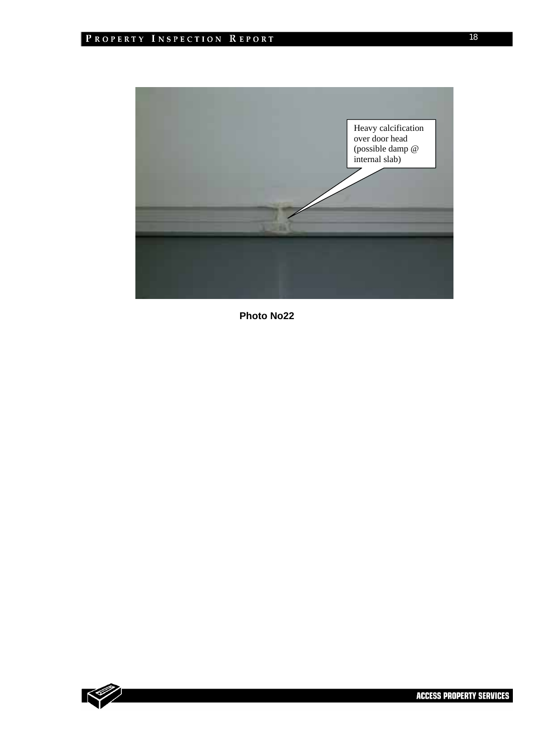

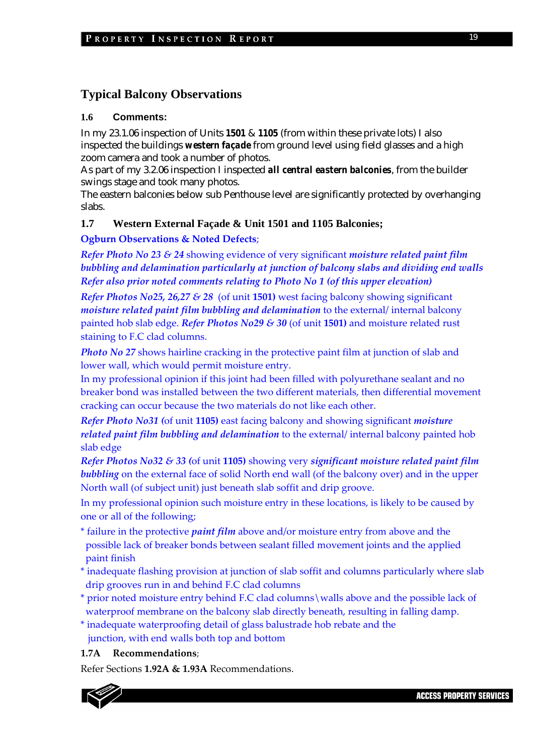## **Typical Balcony Observations**

#### **1.6 Comments:**

In my 23.1.06 inspection of Units *1501* & *1105* (from within these private lots) I also inspected the buildings *western façade* from ground level using field glasses and a high zoom camera and took a number of photos.

As part of my 3.2.06 inspection I inspected *all central eastern balconies*, from the builder swings stage and took many photos.

The eastern balconies below sub Penthouse level are significantly protected by overhanging slabs.

### **1.7 Western External Façade & Unit 1501 and 1105 Balconies;**

#### **Ogburn Observations & Noted Defects**;

*Refer Photo No 23 & 24* showing evidence of very significant *moisture related paint film bubbling and delamination particularly at junction of balcony slabs and dividing end walls Refer also prior noted comments relating to Photo No 1 (of this upper elevation)*

*Refer Photos No25, 26,27 & 28* (of unit **1501)** west facing balcony showing significant *moisture related paint film bubbling and delamination* to the external/ internal balcony painted hob slab edge. *Refer Photos No29 & 30* (of unit **1501)** and moisture related rust staining to F.C clad columns.

*Photo No 27* shows hairline cracking in the protective paint film at junction of slab and lower wall, which would permit moisture entry.

In my professional opinion if this joint had been filled with polyurethane sealant and no breaker bond was installed between the two different materials, then differential movement cracking can occur because the two materials do not like each other.

*Refer Photo No31 (*of unit **1105)** east facing balcony and showing significant *moisture related paint film bubbling and delamination* to the external/ internal balcony painted hob slab edge

*Refer Photos No32 & 33 (*of unit **1105)** showing very *significant moisture related paint film bubbling* on the external face of solid North end wall (of the balcony over) and in the upper North wall (of subject unit) just beneath slab soffit and drip groove.

In my professional opinion such moisture entry in these locations, is likely to be caused by one or all of the following;

- \* failure in the protective *paint film* above and/or moisture entry from above and the possible lack of breaker bonds between sealant filled movement joints and the applied paint finish
- \* inadequate flashing provision at junction of slab soffit and columns particularly where slab drip grooves run in and behind F.C clad columns
- \* prior noted moisture entry behind F.C clad columns\walls above and the possible lack of waterproof membrane on the balcony slab directly beneath, resulting in falling damp.
- \* inadequate waterproofing detail of glass balustrade hob rebate and the

junction, with end walls both top and bottom

#### **1.7A Recommendations**;

Refer Sections **1.92A & 1.93A** Recommendations.

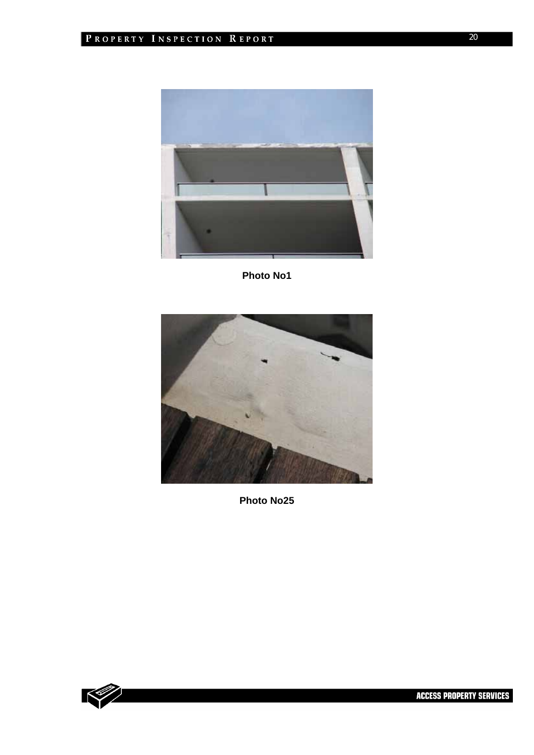



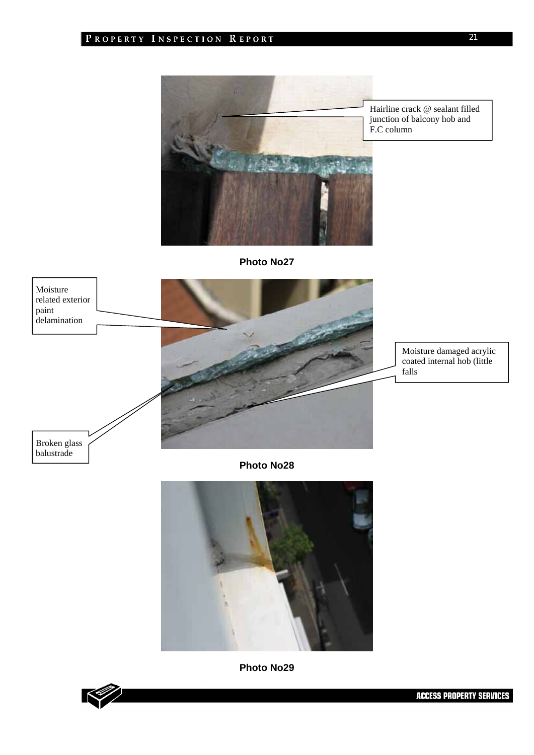

Hairline crack @ sealant filled junction of balcony hob and

**Photo No27** 



**Photo No28** 



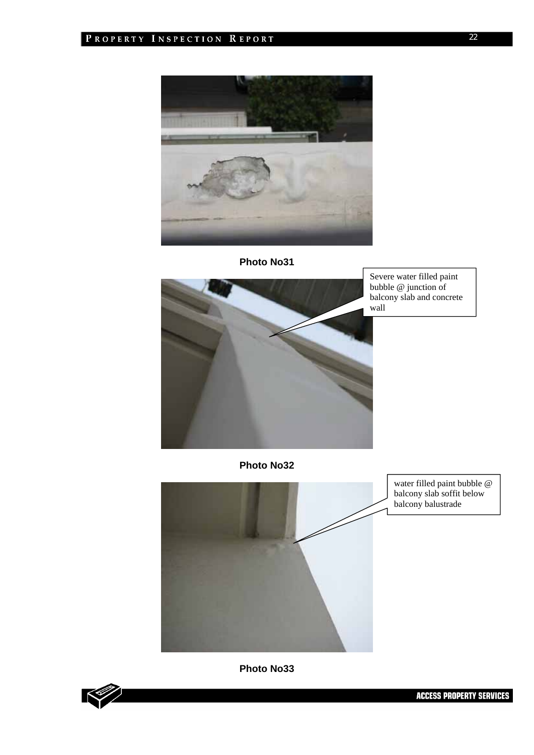



Severe water filled paint bubble @ junction of balcony slab and concrete wall

**Photo No32** 



water filled paint bubble @ balcony slab soffit below balcony balustrade

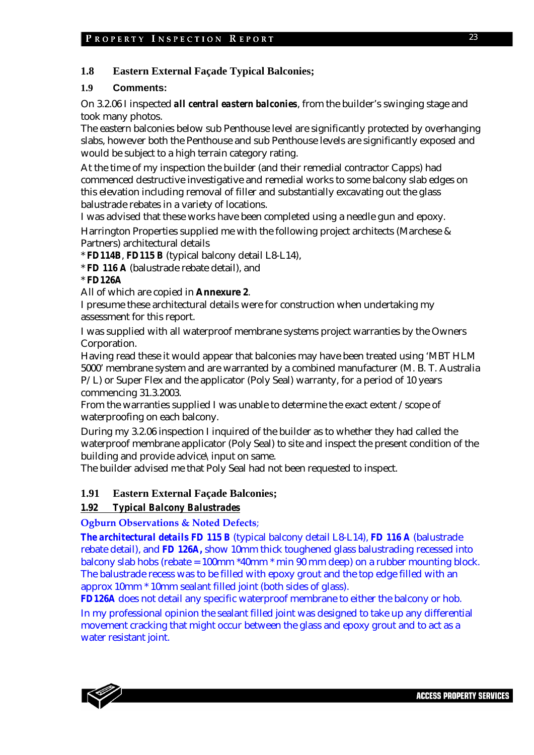## **1.8 Eastern External Façade Typical Balconies;**

## **1.9 Comments:**

On 3.2.06 I inspected *all central eastern balconies*, from the builder's swinging stage and took many photos.

The eastern balconies below sub Penthouse level are significantly protected by overhanging slabs, however both the Penthouse and sub Penthouse levels are significantly exposed and would be subject to a high terrain category rating.

At the time of my inspection the builder (and their remedial contractor Capps) had commenced destructive investigative and remedial works to some balcony slab edges on this elevation including removal of filler and substantially excavating out the glass balustrade rebates in a variety of locations.

I was advised that these works have been completed using a needle gun and epoxy.

Harrington Properties supplied me with the following project architects (Marchese & Partners) architectural details

\* *FD114B*, *FD115 B* (typical balcony detail L8-L14),

\* *FD 116 A* (balustrade rebate detail), and

\* *FD126A* 

All of which are copied in **Annexure 2**.

I presume these architectural details were for construction when undertaking my assessment for this report.

I was supplied with all waterproof membrane systems project warranties by the Owners Corporation.

Having read these it would appear that balconies may have been treated using 'MBT HLM 5000' membrane system and are warranted by a combined manufacturer (M. B. T. Australia P/L) or Super Flex and the applicator (Poly Seal) warranty, for a period of 10 years commencing 31.3.2003.

From the warranties supplied I was unable to determine the exact extent /scope of waterproofing on each balcony.

During my 3.2.06 inspection I inquired of the builder as to whether they had called the waterproof membrane applicator (Poly Seal) to site and inspect the present condition of the building and provide advice\input on same.

The builder advised me that Poly Seal had not been requested to inspect.

## **1.91 Eastern External Façade Balconies;**

## *1.92 Typical Balcony Balustrades*

## **Ogburn Observations & Noted Defects**;

*The architectural details FD 115 B* (typical balcony detail L8-L14), *FD 116 A* (balustrade rebate detail), and *FD 126A,* show 10mm thick toughened glass balustrading recessed into balcony slab hobs (rebate = 100mm \*40mm \* min 90 mm deep) on a rubber mounting block. The balustrade recess was to be filled with epoxy grout and the top edge filled with an approx 10mm \* 10mm sealant filled joint (both sides of glass).

*FD126A* does not detail any specific waterproof membrane to either the balcony or hob. In my professional opinion the sealant filled joint was designed to take up any differential movement cracking that might occur between the glass and epoxy grout and to act as a water resistant joint.

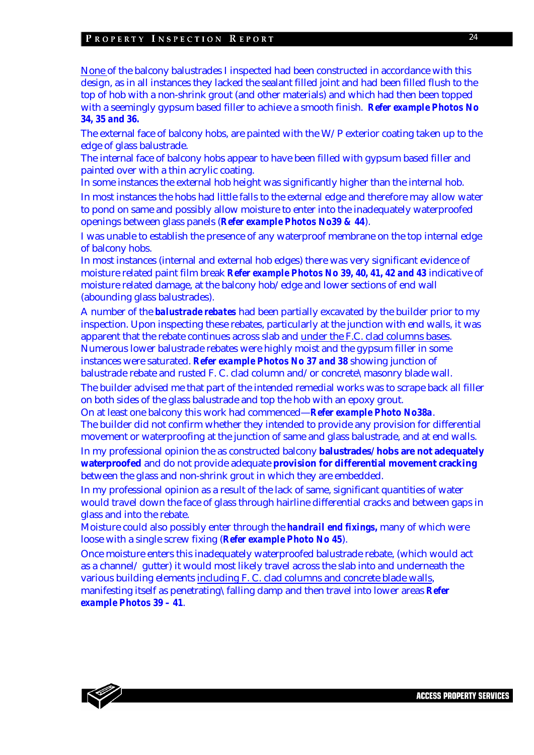#### PROPERTY INSPECTION REPORT

None of the balcony balustrades I inspected had been constructed in accordance with this design, as in all instances they lacked the sealant filled joint and had been filled flush to the top of hob with a non-shrink grout (and other materials) and which had then been topped with a seemingly gypsum based filler to achieve a smooth finish. *Refer example Photos No 34, 35 and 36.* 

The external face of balcony hobs, are painted with the W/P exterior coating taken up to the edge of glass balustrade.

The internal face of balcony hobs appear to have been filled with gypsum based filler and painted over with a thin acrylic coating.

In some instances the external hob height was significantly higher than the internal hob. In most instances the hobs had little falls to the external edge and therefore may allow water to pond on same and possibly allow moisture to enter into the inadequately waterproofed openings between glass panels (*Refer example Photos No39 & 44*).

I was unable to establish the presence of any waterproof membrane on the top internal edge of balcony hobs.

In most instances (internal and external hob edges) there was very significant evidence of moisture related paint film break *Refer example Photos No 39, 40, 41, 42 and 43* indicative of moisture related damage, at the balcony hob/edge and lower sections of end wall (abounding glass balustrades).

A number of the *balustrade rebates* had been partially excavated by the builder prior to my inspection. Upon inspecting these rebates, particularly at the junction with end walls, it was apparent that the rebate continues across slab and under the F.C. clad columns bases. Numerous lower balustrade rebates were highly moist and the gypsum filler in some instances were saturated. *Refer example Photos No 37 and 38* showing junction of balustrade rebate and rusted F. C. clad column and/or concrete\masonry blade wall.

The builder advised me that part of the intended remedial works was to scrape back all filler on both sides of the glass balustrade and top the hob with an epoxy grout.

On at least one balcony this work had commenced—*Refer example Photo No38a*. The builder did not confirm whether they intended to provide any provision for differential movement or waterproofing at the junction of same and glass balustrade, and at end walls.

In my professional opinion the as constructed balcony **balustrades/ hobs are not adequately waterproofed** and do not provide adequate **provision for differential movement cracking** between the glass and non-shrink grout in which they are embedded.

In my professional opinion as a result of the lack of same, significant quantities of water would travel down the face of glass through hairline differential cracks and between gaps in glass and into the rebate.

Moisture could also possibly enter through the *handrail end fixings,* many of which were loose with a single screw fixing (*Refer example Photo No 45*).

Once moisture enters this inadequately waterproofed balustrade rebate, (which would act as a channel/ gutter) it would most likely travel across the slab into and underneath the various building elements including F. C. clad columns and concrete blade walls, manifesting itself as penetrating\falling damp and then travel into lower areas *Refer example Photos 39 – 41*.



24

**ACCESS PROPERTY SERVICES**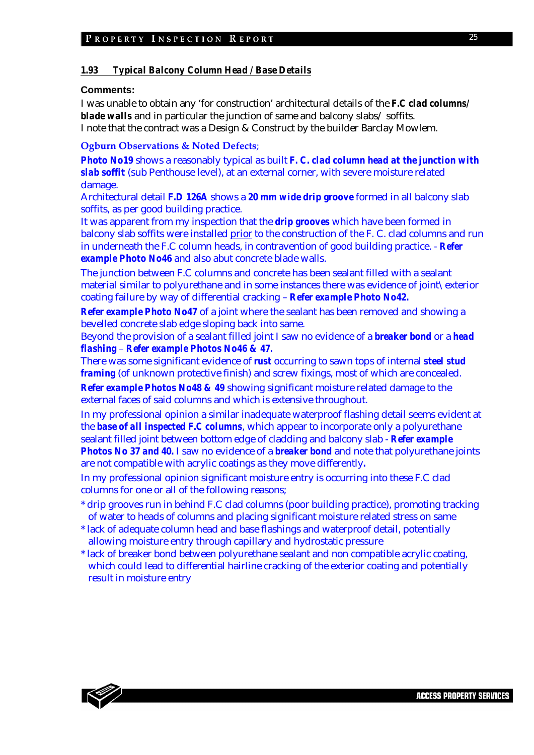#### *1.93 Typical Balcony Column Head / Base Details*

#### **Comments:**

I was unable to obtain any 'for construction' architectural details of the *F.C clad columns/ blade walls* and in particular the junction of same and balcony slabs/ soffits. I note that the contract was a Design & Construct by the builder Barclay Mowlem.

#### **Ogburn Observations & Noted Defects**;

*Photo No19* shows a reasonably typical as built *F. C. clad column head at the junction with slab soffit* (sub Penthouse level), at an external corner, with severe moisture related damage.

Architectural detail *F.D 126A* shows a *20 mm wide drip groove* formed in all balcony slab soffits, as per good building practice.

It was apparent from my inspection that the *drip grooves* which have been formed in balcony slab soffits were installed prior to the construction of the F. C. clad columns and run in underneath the F.C column heads, in contravention of good building practice. - *Refer example Photo No46* and also abut concrete blade walls.

The junction between F.C columns and concrete has been sealant filled with a sealant material similar to polyurethane and in some instances there was evidence of joint\exterior coating failure by way of differential cracking – *Refer example Photo No42.* 

*Refer example Photo No47* of a joint where the sealant has been removed and showing a bevelled concrete slab edge sloping back into same.

Beyond the provision of a sealant filled joint I saw no evidence of a *breaker bond* or a *head flashing* – *Refer example Photos No46 & 47.* 

There was some significant evidence of *rust* occurring to sawn tops of internal *steel stud framing* (of unknown protective finish) and screw fixings, most of which are concealed.

*Refer example Photos No48 & 49* showing significant moisture related damage to the external faces of said columns and which is extensive throughout.

In my professional opinion a similar inadequate waterproof flashing detail seems evident at the *base of all inspected F.C columns*, which appear to incorporate only a polyurethane sealant filled joint between bottom edge of cladding and balcony slab - *Refer example Photos No 37 and 40.* I saw no evidence of a *breaker bond* and note that polyurethane joints are not compatible with acrylic coatings as they move differently*.* 

In my professional opinion significant moisture entry is occurring into these F.C clad columns for one or all of the following reasons;

- \* drip grooves run in behind F.C clad columns (poor building practice), promoting tracking of water to heads of columns and placing significant moisture related stress on same
- \* lack of adequate column head and base flashings and waterproof detail, potentially allowing moisture entry through capillary and hydrostatic pressure
- \* lack of breaker bond between polyurethane sealant and non compatible acrylic coating, which could lead to differential hairline cracking of the exterior coating and potentially result in moisture entry

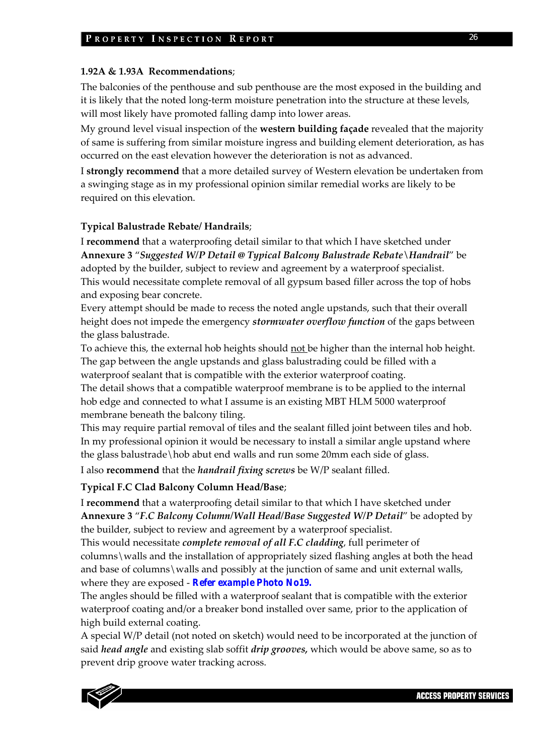#### **1.92A & 1.93A Recommendations**;

The balconies of the penthouse and sub penthouse are the most exposed in the building and it is likely that the noted long-term moisture penetration into the structure at these levels, will most likely have promoted falling damp into lower areas.

My ground level visual inspection of the **western building façade** revealed that the majority of same is suffering from similar moisture ingress and building element deterioration, as has occurred on the east elevation however the deterioration is not as advanced.

I **strongly recommend** that a more detailed survey of Western elevation be undertaken from a swinging stage as in my professional opinion similar remedial works are likely to be required on this elevation.

#### **Typical Balustrade Rebate/ Handrails**;

I **recommend** that a waterproofing detail similar to that which I have sketched under **Annexure 3** "*Suggested W/P Detail @ Typical Balcony Balustrade Rebate\Handrail*" be adopted by the builder, subject to review and agreement by a waterproof specialist. This would necessitate complete removal of all gypsum based filler across the top of hobs and exposing bear concrete.

Every attempt should be made to recess the noted angle upstands, such that their overall height does not impede the emergency *stormwater overflow function* of the gaps between the glass balustrade.

To achieve this, the external hob heights should not be higher than the internal hob height. The gap between the angle upstands and glass balustrading could be filled with a waterproof sealant that is compatible with the exterior waterproof coating.

The detail shows that a compatible waterproof membrane is to be applied to the internal hob edge and connected to what I assume is an existing MBT HLM 5000 waterproof membrane beneath the balcony tiling.

This may require partial removal of tiles and the sealant filled joint between tiles and hob. In my professional opinion it would be necessary to install a similar angle upstand where the glass balustrade\hob abut end walls and run some 20mm each side of glass.

I also **recommend** that the *handrail fixing screws* be W/P sealant filled.

**Typical F.C Clad Balcony Column Head/Base**;

I **recommend** that a waterproofing detail similar to that which I have sketched under **Annexure 3** "*F.C Balcony Column/Wall Head/Base Suggested W/P Detail*" be adopted by the builder, subject to review and agreement by a waterproof specialist.

This would necessitate *complete removal of all F.C cladding*, full perimeter of columns\walls and the installation of appropriately sized flashing angles at both the head and base of columns\walls and possibly at the junction of same and unit external walls, where they are exposed ‐ *Refer example Photo No19.*

The angles should be filled with a waterproof sealant that is compatible with the exterior waterproof coating and/or a breaker bond installed over same, prior to the application of high build external coating.

A special W/P detail (not noted on sketch) would need to be incorporated at the junction of said *head angle* and existing slab soffit *drip grooves,* which would be above same, so as to prevent drip groove water tracking across.

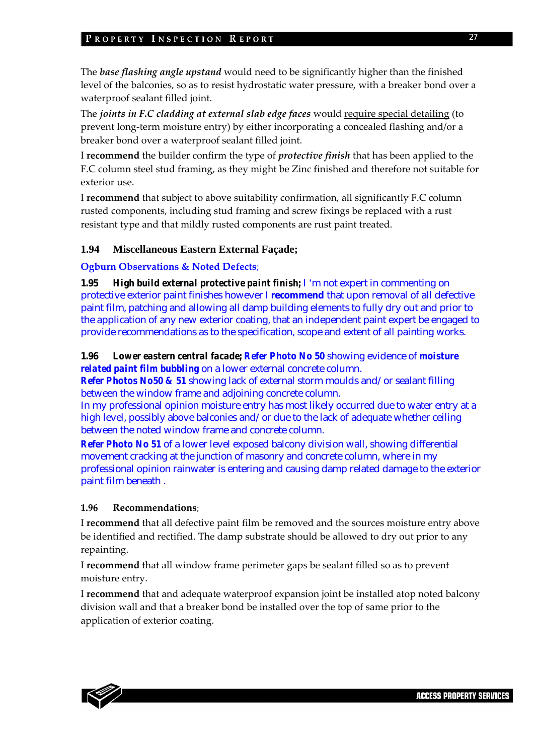The *base flashing angle upstand* would need to be significantly higher than the finished level of the balconies, so as to resist hydrostatic water pressure, with a breaker bond over a waterproof sealant filled joint.

The *joints in F.C cladding at external slab edge faces* would require special detailing (to prevent long-term moisture entry) by either incorporating a concealed flashing and/or a breaker bond over a waterproof sealant filled joint.

I **recommend** the builder confirm the type of *protective finish* that has been applied to the F.C column steel stud framing, as they might be Zinc finished and therefore not suitable for exterior use.

I **recommend** that subject to above suitability confirmation, all significantly F.C column rusted components, including stud framing and screw fixings be replaced with a rust resistant type and that mildly rusted components are rust paint treated.

## **1.94 Miscellaneous Eastern External Façade;**

## **Ogburn Observations & Noted Defects**;

**1.95** *High build external protective paint finish;* I 'm not expert in commenting on protective exterior paint finishes however I **recommend** that upon removal of all defective paint film, patching and allowing all damp building elements to fully dry out and prior to the application of any new exterior coating, that an independent paint expert be engaged to provide recommendations as to the specification, scope and extent of all painting works.

## **1.96** *Lower eastern central facade; Refer Photo No 50* showing evidence of *moisture related paint film bubbling* on a lower external concrete column.

*Refer Photos No50 & 51* showing lack of external storm moulds and/or sealant filling between the window frame and adjoining concrete column.

In my professional opinion moisture entry has most likely occurred due to water entry at a high level, possibly above balconies and/or due to the lack of adequate whether ceiling between the noted window frame and concrete column.

*Refer Photo No 51* of a lower level exposed balcony division wall, showing differential movement cracking at the junction of masonry and concrete column, where in my professional opinion rainwater is entering and causing damp related damage to the exterior paint film beneath .

## **1.96 Recommendations**;

I **recommend** that all defective paint film be removed and the sources moisture entry above be identified and rectified. The damp substrate should be allowed to dry out prior to any repainting.

I **recommend** that all window frame perimeter gaps be sealant filled so as to prevent moisture entry.

I **recommend** that and adequate waterproof expansion joint be installed atop noted balcony division wall and that a breaker bond be installed over the top of same prior to the application of exterior coating.

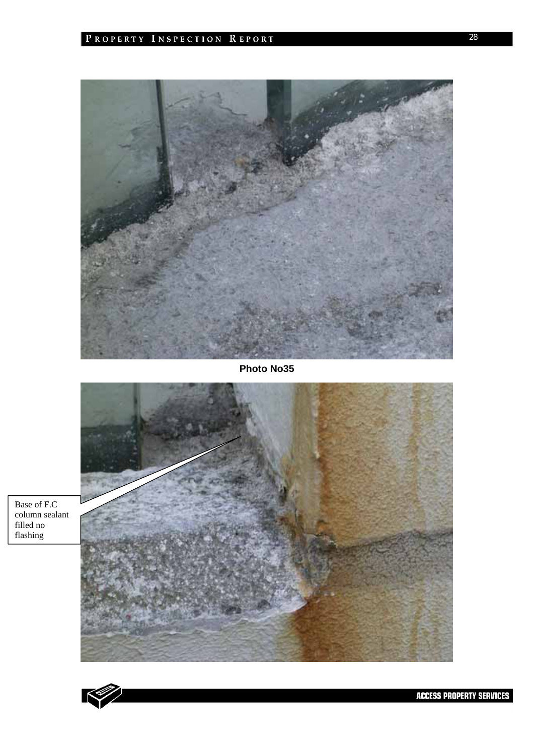

**Photo No35** 





filled no flashing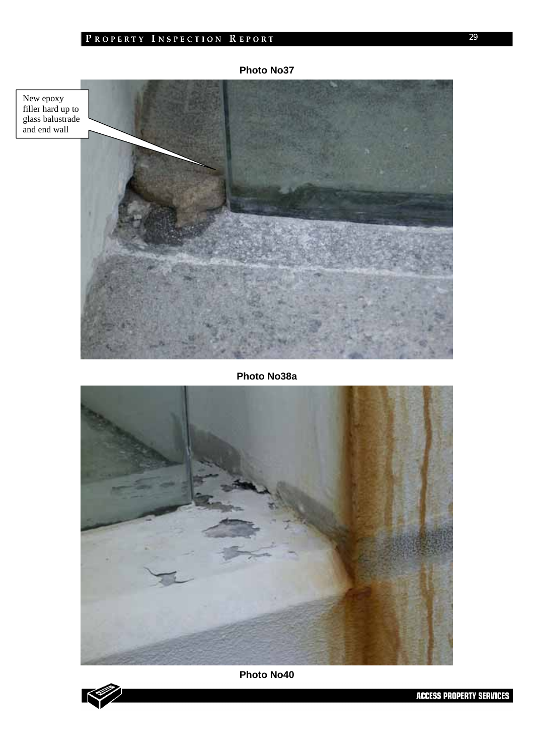## PROPERTY INSPECTION REPORT

New epoxy filler hard up to glass balustrade and end wall

## **Photo No38a**





**ACCESS PROPERTY SERVICES**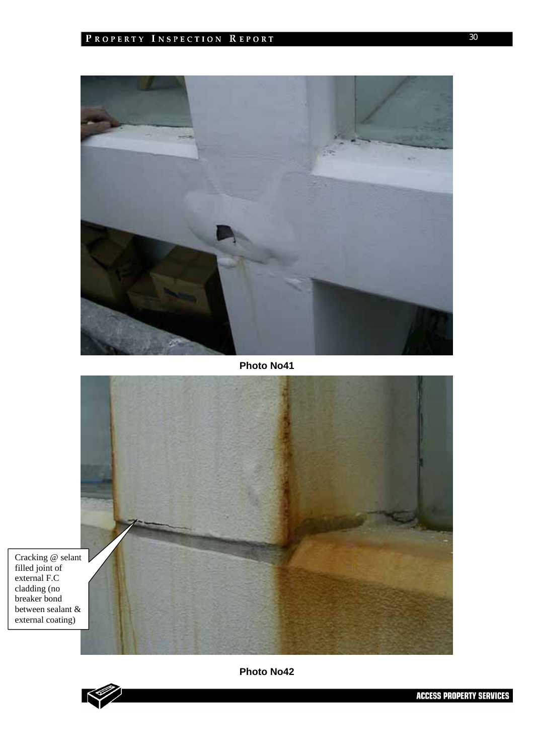

**Photo No41** 



filled joint of external F.C cladding (no breaker bond between sealant & external coating)

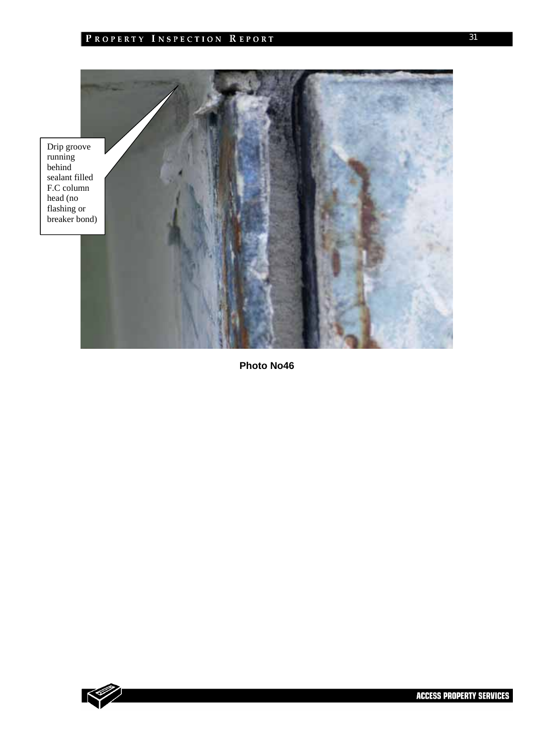



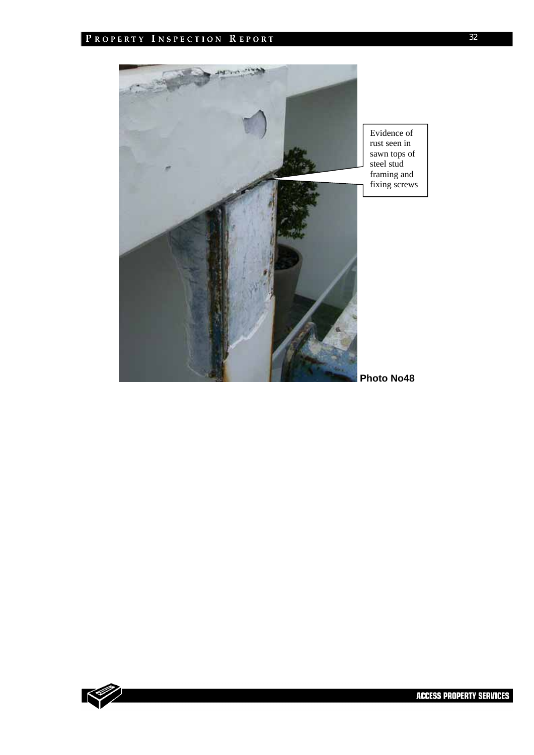

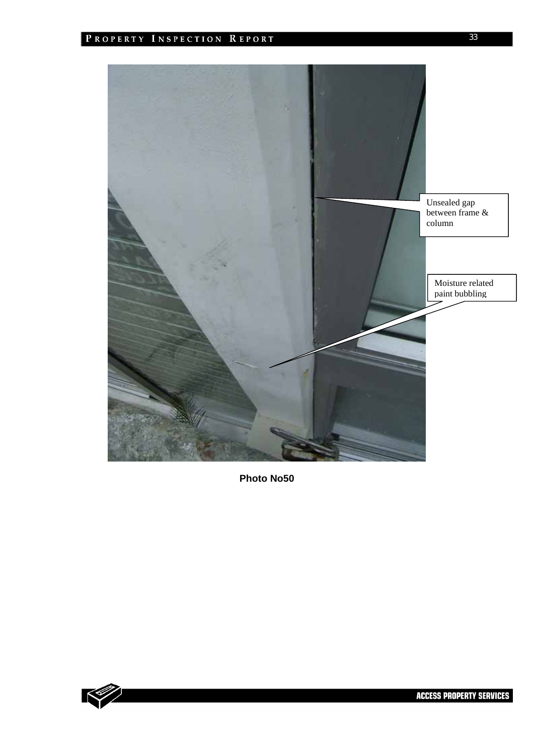

![](_page_32_Picture_3.jpeg)